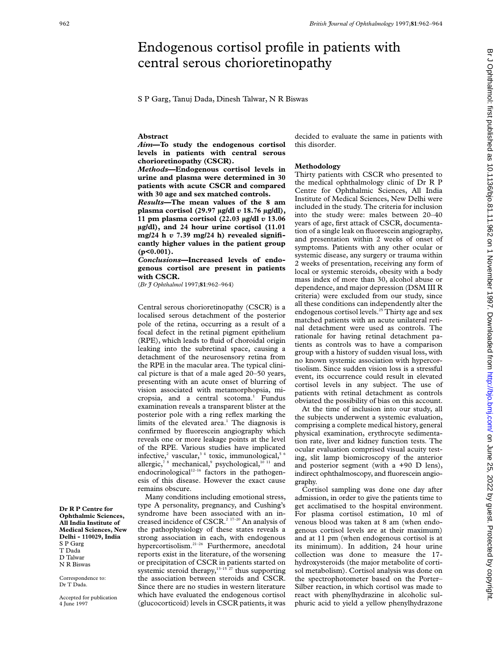# Endogenous cortisol profile in patients with central serous chorioretinopathy

S P Garg, Tanuj Dada, Dinesh Talwar, N R Biswas

### **Abstract**

*Aim***—To study the endogenous cortisol levels in patients with central serous chorioretinopathy (CSCR).**

*Methods***—Endogenous cortisol levels in urine and plasma were determined in 30 patients with acute CSCR and compared with 30 age and sex matched controls.**

*Results***—The mean values of the 8 am plasma cortisol (29.97 µg/dl** *v* **18.76 µg/dl), 11 pm plasma cortisol (22.03 µg/dl** *v* **13.06 µg/dl), and 24 hour urine cortisol (11.01 mg/24 h** *v* **7.39 mg/24 h) revealed significantly higher values in the patient group (p<0.001).**

## *Conclusions***—Increased levels of endogenous cortisol are present in patients with CSCR.**

(*Br J Ophthalmol* 1997;**81**:962–964)

Central serous chorioretinopathy (CSCR) is a localised serous detachment of the posterior pole of the retina, occurring as a result of a focal defect in the retinal pigment epithelium (RPE), which leads to fluid of choroidal origin leaking into the subretinal space, causing a detachment of the neurosensory retina from the RPE in the macular area. The typical clinical picture is that of a male aged 20–50 years, presenting with an acute onset of blurring of vision associated with metamorphopsia, micropsia, and a central scotoma.<sup>1</sup> Fundus examination reveals a transparent blister at the posterior pole with a ring reflex marking the limits of the elevated area. $<sup>1</sup>$  The diagnosis is</sup> confirmed by fluorescein angiography which reveals one or more leakage points at the level of the RPE. Various studies have implicated infective,<sup>2</sup> vascular,<sup>34</sup> toxic, immunological,<sup>5</sup> allergic,<sup>78</sup> mechanical,<sup>9</sup> psychological,<sup>10 11</sup> and endocrinological $12-16$  factors in the pathogenesis of this disease. However the exact cause remains obscure.

Many conditions including emotional stress, type A personality, pregnancy, and Cushing's syndrome have been associated with an increased incidence of CSCR.<sup>2 17-20</sup> An analysis of the pathophysiology of these states reveals a strong association in each, with endogenous hypercortisolism.21–26 Furthermore, anecdotal reports exist in the literature, of the worsening or precipitation of CSCR in patients started on systemic steroid therapy, $13-15$   $27$  thus supporting the association between steroids and CSCR. Since there are no studies in western literature which have evaluated the endogenous cortisol (glucocorticoid) levels in CSCR patients, it was

decided to evaluate the same in patients with this disorder.

## **Methodology**

Thirty patients with CSCR who presented to the medical ophthalmology clinic of Dr R P Centre for Ophthalmic Sciences, All India Institute of Medical Sciences, New Delhi were included in the study. The criteria for inclusion into the study were: males between 20–40 years of age, first attack of CSCR, documentation of a single leak on fluorescein angiography, and presentation within 2 weeks of onset of symptoms. Patients with any other ocular or systemic disease, any surgery or trauma within 2 weeks of presentation, receiving any form of local or systemic steroids, obesity with a body mass index of more than 30, alcohol abuse or dependence, and major depression (DSM III R criteria) were excluded from our study, since all these conditions can independently alter the endogenous cortisol levels.<sup>25</sup> Thirty age and sex matched patients with an acute unilateral retinal detachment were used as controls. The rationale for having retinal detachment patients as controls was to have a comparison group with a history of sudden visual loss, with no known systemic association with hypercortisolism. Since sudden vision loss is a stressful event, its occurrence could result in elevated cortisol levels in any subject. The use of patients with retinal detachment as controls obviated the possibility of bias on this account.

At the time of inclusion into our study, all the subjects underwent a systemic evaluation, comprising a complete medical history, general physical examination, erythrocyte sedimentation rate, liver and kidney function tests. The ocular evaluation comprised visual acuity testing, slit lamp biomicroscopy of the anterior and posterior segment (with a +90 D lens), indirect ophthalmoscopy, and fluorescein angiography.

Cortisol sampling was done one day after admission, in order to give the patients time to get acclimatised to the hospital environment. For plasma cortisol estimation, 10 ml of venous blood was taken at 8 am (when endogenous cortisol levels are at their maximum) and at 11 pm (when endogenous cortisol is at its minimum). In addition, 24 hour urine collection was done to measure the 17 hydroxysteroids (the major metabolite of cortisol metabolism). Cortisol analysis was done on the spectrophotometer based on the Porter– Silber reaction, in which cortisol was made to react with phenylhydrazine in alcoholic sulphuric acid to yield a yellow phenylhydrazone

Br J Ophthalmol: first published as 10.11136/bjo.81.11.962 on 1 November 1997. Downloaded from http://bjo.bmj.com/ on June 25, 2022 by guest. Protected by copyright on June 25, 2022 by guest. Protected by copyright. Http://bjo.bmj.com/ Br J November 1997. Downloaded from Http://bjo.bmj.com/ on June 25, 2022 on 10.1136/bjo.81.11.967. Dr

**Dr R P Centre for Ophthalmic Sciences, All India Institute of Medical Sciences, New Delhi - 110029, India** S P Garg T Dada D Talwar N R Biswas

Correspondence to: Dr T Dada.

Accepted for publication 4 June 1997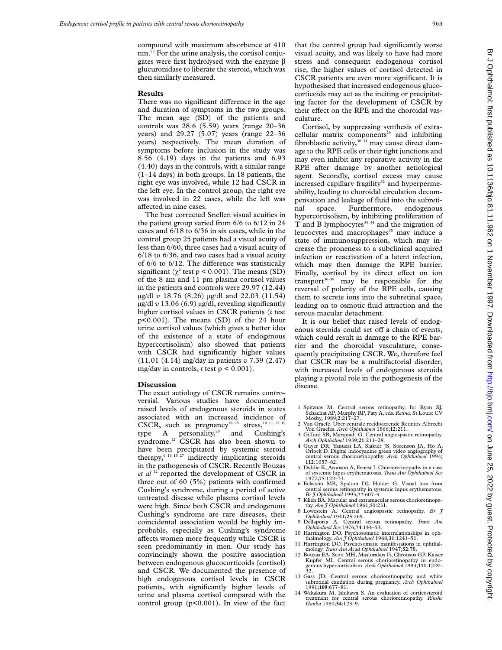compound with maximum absorbence at 410 nm.25 For the urine analysis, the cortisol conjugates were first hydrolysed with the enzyme  $\beta$ glucuronidase to liberate the steroid, which was then similarly measured.

#### **Results**

There was no significant difference in the age and duration of symptoms in the two groups. The mean age (SD) of the patients and controls was 28.6 (5.59) years (range 20–36 years) and 29.27 (5.07) years (range 22–36 years) respectively. The mean duration of symptoms before inclusion in the study was 8.56 (4.19) days in the patients and 6.93 (4.40) days in the controls, with a similar range (1–14 days) in both groups. In 18 patients, the right eye was involved, while 12 had CSCR in the left eye. In the control group, the right eye was involved in 22 cases, while the left was affected in nine cases.

The best corrected Snellen visual acuities in the patient group varied from 6/6 to 6/12 in 24 cases and 6/18 to 6/36 in six cases, while in the control group 25 patients had a visual acuity of less than 6/60, three cases had a visual acuity of 6/18 to 6/36, and two cases had a visual acuity of  $6/6$  to  $6/12$ . The difference was statistically significant ( $\chi^2$  test p < 0.001). The means (SD) of the 8 am and 11 pm plasma cortisol values in the patients and controls were 29.97 (12.44) µg/dl *v* 18.76 (8.26) µg/dl and 22.03 (11.54) µg/dl *v* 13.06 (6.9) µg/dl, revealing significantly higher cortisol values in CSCR patients (*t* test p<0.001). The means (SD) of the 24 hour urine cortisol values (which gives a better idea of the existence of a state of endogenous hypercortisolism) also showed that patients with CSCR had significantly higher values (11.01 (4.14) mg/day in patients *v* 7.39 (2.47) mg/day in controls,  $t$  test  $p < 0.001$ ).

#### **Discussion**

The exact aetiology of CSCR remains controversial. Various studies have documented raised levels of endogenous steroids in states associated with an increased incidence of CSCR, such as pregnancy<sup>18 28</sup> stress,<sup>10 11 17 19</sup> type A personality,<sup>20</sup> and Cushing's syndrome.<sup>12</sup> CSCR has also been shown to have been precipitated by systemic steroid therapy,  $6^{14}$  15<sup>27</sup> indirectly implicating steroids in the pathogenesis of CSCR. Recently Bouzas *et al* <sup>12</sup> reported the development of CSCR in three out of 60 (5%) patients with confirmed Cushing's syndrome, during a period of active untreated disease while plasma cortisol levels were high. Since both CSCR and endogenous Cushing's syndrome are rare diseases, their coincidental association would be highly improbable, especially as Cushing's syndrome affects women more frequently while CSCR is seen predominantly in men. Our study has convincingly shown the positive association between endogenous glucocorticoids (cortisol) and CSCR. We documented the presence of high endogenous cortisol levels in CSCR patients, with significantly higher levels of urine and plasma cortisol compared with the control group (p<0.001). In view of the fact

that the control group had significantly worse visual acuity, and was likely to have had more stress and consequent endogenous cortisol rise, the higher values of cortisol detected in CSCR patients are even more significant. It is hypothesised that increased endogenous glucocorticoids may act as the inciting or precipitating factor for the development of CSCR by their effect on the RPE and the choroidal vasculature.

Cortisol, by suppressing synthesis of extracellular matrix components<sup>29</sup> and inhibiting fibroblastic activity,  $30\overline{31}$  may cause direct damage to the RPE cells or their tight junctions and may even inhibit any reparative activity in the RPE after damage by another aetiological agent. Secondly, cortisol excess may cause increased capillary fragility<sup>32</sup> and hyperpermeability, leading to choroidal circulation decompensation and leakage of fluid into the subretinal space. Furthermore, endogenous hypercortisolism, by inhibiting proliferation of T and B lymphocytes<sup>33 34</sup> and the migration of leucocytes and macrophages<sup>35</sup> may induce a state of immunosuppression, which may increase the proneness to a subclinical acquired infection or reactivation of a latent infection, which may then damage the RPE barrier. Finally, cortisol by its direct effect on ion transport<sup>36-38</sup> may be responsible for the reversal of polarity of the RPE cells, causing them to secrete ions into the subretinal space, leading on to osmotic fluid attraction and the serous macular detachment.

It is our belief that raised levels of endogenous steroids could set off a chain of events, which could result in damage to the RPE barrier and the choroidal vasculature, consequently precipitating CSCR. We, therefore feel that CSCR may be a multifactorial disorder, with increased levels of endogenous steroids playing a pivotal role in the pathogenesis of the disease.

- 1 Spitznas M. Central serous retinopathy. In: Ryan SJ, Schachat AP, Murphy RP, Paty A, eds. *Retina.*St Louis: CV Mosby, 1989;**2**:217–27.
- 2 Von Graefe. Uber centrale recidivierende Retinitis Albrecht Von Graefes. *Arch Ophthalmol* 1866;**12**:211.
- 3 Gifford SR, Marquadt G. Central angiospastic retinopathy. *Arch Ophthalmol* 1939;**21**:211–28.
- 4 Guyer DR, Yanuzzi LA, Slakter JS, Sorenson JA, Ho A, Orlock D. Digital indocyanine green video angiography of central serous chorioretinopathy. *Arch Ophthalmol* 1994; **<sup>112</sup>**:1057–62.
- 5 Diddie K, Aronson A, Ernest I. Chorioretinopathy in a of systemic lupus erythematosus. *Trans Am Ophthalmol Soc* 1977;**75**:122–31.
- 6 Eckstein MB, Spalton DJ, Holder G. Visual loss from central serous retinopathy in systemic lupus erythematous. *Br J Ophthalmol* 1993;**77**:607–9.
- 7 Klien BA. Macular and extramacular serous chorioretinopa-thy. *Am J Ophthalmol* 1961;**51**:231.
- 8 Lowestein A. Central angiospastic retinopathy. *Br J Ophthalmol* 1941;**25**:269.
- 9 Dellaporta A. Central serous retinopathy. *Trans Am Ophthalmol Soc* 1976;**74**:144–53.
- 10 Harrington DO. Psychosomatic interrelationships in ophthalmology. *Am J Ophthalmol* 1948;**31**:1241–51. 11 Harrington DO. Psychosomatic manifestations in ophthal-mology. *Trans Am Acad Ophthalmol* 1947;**52**:78.
- 12 Bouzas EA, Scott MH, Mastorakos G, Chrousos GP, Kaiser
- Kupfer MI. Central serous chorioretinopathy in endogenous hypercortisolism. *Arch Ophthalmol* 1993;111:1229–32.
- 13 Gass JD. Central serous chorioretinopathy and white subretinal exudation during pregnancy. *Arch Ophthalmol* 1991;**109**:677–81.
- 14 Wakakura M, Ishikawa S. An evaluation of corticosteroid treatment for central serous chorioretinopathy. *Rinsho Ganka* 1980;**34**:123–9.